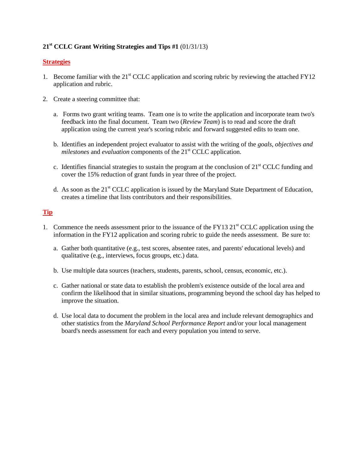## **21st CCLC Grant Writing Strategies and Tips #1** (01/31/13)

#### **Strategies**

- 1. Become familiar with the  $21<sup>st</sup> CCLC$  application and scoring rubric by reviewing the attached FY12 application and rubric.
- 2. Create a steering committee that:
	- a. Forms two grant writing teams. Team one is to write the application and incorporate team two's feedback into the final document. Team two (*Review Team*) is to read and score the draft application using the current year's scoring rubric and forward suggested edits to team one.
	- b. Identifies an independent project evaluator to assist with the writing of the *goals, objectives and milestones* and *evaluation* components of the 21<sup>st</sup> CCLC application.
	- c. Identifies financial strategies to sustain the program at the conclusion of  $21<sup>st</sup> CCLC$  funding and cover the 15% reduction of grant funds in year three of the project.
	- d. As soon as the  $21<sup>st</sup> CCLC$  application is issued by the Maryland State Department of Education, creates a timeline that lists contributors and their responsibilities.

#### **Tip**

- 1. Commence the needs assessment prior to the issuance of the FY13  $21<sup>st</sup>$  CCLC application using the information in the FY12 application and scoring rubric to guide the needs assessment. Be sure to:
	- a. Gather both quantitative (e.g., test scores, absentee rates, and parents' educational levels) and qualitative (e.g., interviews, focus groups, etc.) data.
	- b. Use multiple data sources (teachers, students, parents, school, census, economic, etc.).
	- c. Gather national or state data to establish the problem's existence outside of the local area and confirm the likelihood that in similar situations, programming beyond the school day has helped to improve the situation.
	- d. Use local data to document the problem in the local area and include relevant demographics and other statistics from the *Maryland School Performance Report* and/or your local management board's needs assessment for each and every population you intend to serve.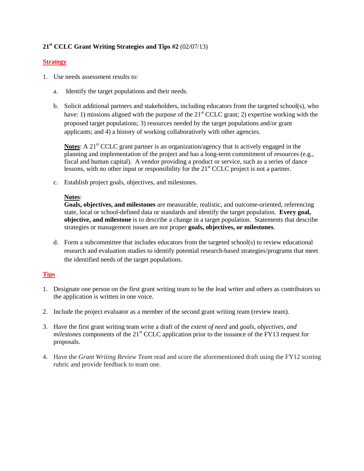## **21st CCLC Grant Writing Strategies and Tips #2** (02/07/13)

#### **Strategy**

- 1. Use needs assessment results to:
	- a. Identify the target populations and their needs.
	- b. Solicit additional partners and stakeholders, including educators from the targeted school(s), who have: 1) missions aligned with the purpose of the  $21<sup>st</sup> CCLC$  grant; 2) expertise working with the proposed target populations; 3) resources needed by the target populations and/or grant applicants; and 4) a history of working collaboratively with other agencies.

**Notes:** A 21<sup>st</sup> CCLC grant partner is an organization/agency that is actively engaged in the planning and implementation of the project and has a long-term commitment of resources (e.g., fiscal and human capital). A vendor providing a product or service, such as a series of dance lessons, with no other input or responsibility for the 21<sup>st</sup> CCLC project is not a partner.

c. Establish project goals, objectives, and milestones.

#### **Notes**:

**Goals, objectives, and milestones** are measurable, realistic, and outcome-oriented, referencing state, local or school-defined data or standards and identify the target population. **Every goal, objective, and milestone** is to describe a change in a target population. Statements that describe strategies or management issues are not proper **goals, objectives, or milestones**.

d. Form a subcommittee that includes educators from the targeted school(s) to review educational research and evaluation studies to identify potential research-based strategies/programs that meet the identified needs of the target populations.

- 1. Designate one person on the first grant writing team to be the lead writer and others as contributors so the application is written in one voice.
- 2. Include the project evaluator as a member of the second grant writing team (review team).
- 3. Have the first grant writing team write a draft of the *extent of need* and *goals, objectives, and milestones* components of the 21<sup>st</sup> CCLC application prior to the issuance of the FY13 request for proposals.
- 4. Have the *Grant Writing Review Team* read and score the aforementioned draft using the FY12 scoring rubric and provide feedback to team one.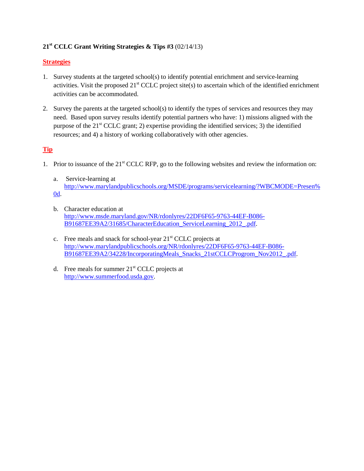## **21st CCLC Grant Writing Strategies & Tips #3** (02/14/13)

### **Strategies**

- 1. Survey students at the targeted school(s) to identify potential enrichment and service-learning activities. Visit the proposed  $21<sup>st</sup> CCLC$  project site(s) to ascertain which of the identified enrichment activities can be accommodated.
- 2. Survey the parents at the targeted school(s) to identify the types of services and resources they may need. Based upon survey results identify potential partners who have: 1) missions aligned with the purpose of the  $21<sup>st</sup> CCLC$  grant; 2) expertise providing the identified services; 3) the identified resources; and 4) a history of working collaboratively with other agencies.

### **Tip**

- 1. Prior to issuance of the  $21<sup>st</sup> CCLC RFP$ , go to the following websites and review the information on:
	- a. Service-learning at [http://www.marylandpublicschools.org/MSDE/programs/servicelearning/?WBCMODE=Presen%](http://www.marylandpublicschools.org/MSDE/programs/servicelearning/?WBCMODE=Presen%0d) [0d.](http://www.marylandpublicschools.org/MSDE/programs/servicelearning/?WBCMODE=Presen%0d)
	- b. Character education at [http://www.msde.maryland.gov/NR/rdonlyres/22DF6F65-9763-44EF-B086-](http://www.msde.maryland.gov/NR/rdonlyres/22DF6F65-9763-44EF-B086-B91687EE39A2/31685/CharacterEducation_ServiceLearning_2012_.pdf) [B91687EE39A2/31685/CharacterEducation\\_ServiceLearning\\_2012\\_.pdf.](http://www.msde.maryland.gov/NR/rdonlyres/22DF6F65-9763-44EF-B086-B91687EE39A2/31685/CharacterEducation_ServiceLearning_2012_.pdf)
	- c. Free meals and snack for school-year  $21<sup>st</sup>$  CCLC projects at [http://www.marylandpublicschools.org/NR/rdonlyres/22DF6F65-9763-44EF-B086-](http://www.marylandpublicschools.org/NR/rdonlyres/22DF6F65-9763-44EF-B086-B91687EE39A2/34228/IncorporatingMeals_Snacks_21stCCLCProgrom_Nov2012_.pdf) [B91687EE39A2/34228/IncorporatingMeals\\_Snacks\\_21stCCLCProgrom\\_Nov2012\\_.pdf.](http://www.marylandpublicschools.org/NR/rdonlyres/22DF6F65-9763-44EF-B086-B91687EE39A2/34228/IncorporatingMeals_Snacks_21stCCLCProgrom_Nov2012_.pdf)
	- d. Free meals for summer  $21<sup>st</sup>$  CCLC projects at [http://www.summerfood.usda.gov.](http://www.summerfood.usda.gov/)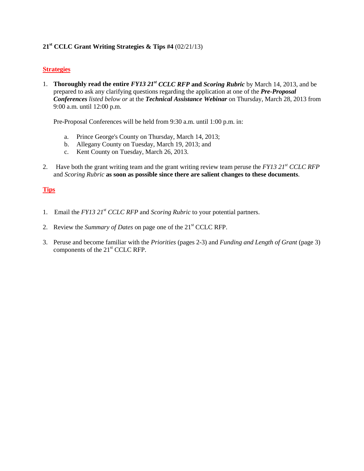### **21st CCLC Grant Writing Strategies & Tips #4** (02/21/13)

#### **Strategies**

1. **Thoroughly read the entire** *FY13 21st CCLC RFP* **and** *Scoring Rubric* by March 14, 2013, and be prepared to ask any clarifying questions regarding the application at one of the *Pre-Proposal Conferences listed below or* at the *Technical Assistance Webinar* on Thursday, March 28, 2013 from 9:00 a.m. until 12:00 p.m.

Pre-Proposal Conferences will be held from 9:30 a.m. until 1:00 p.m. in:

- a. Prince George's County on Thursday, March 14, 2013;
- b. Allegany County on Tuesday, March 19, 2013; and
- c. Kent County on Tuesday, March 26, 2013.
- 2. Have both the grant writing team and the grant writing review team peruse the *FY13 21st CCLC RFP* and *Scoring Rubric* **as soon as possible since there are salient changes to these documents**.

- 1. Email the *FY13 21st CCLC RFP* and *Scoring Rubric* to your potential partners.
- 2. Review the *Summary of Dates* on page one of the 21st CCLC RFP.
- 3. Peruse and become familiar with the *Priorities* (pages 2-3) and *Funding and Length of Grant* (page 3) components of the 21<sup>st</sup> CCLC RFP.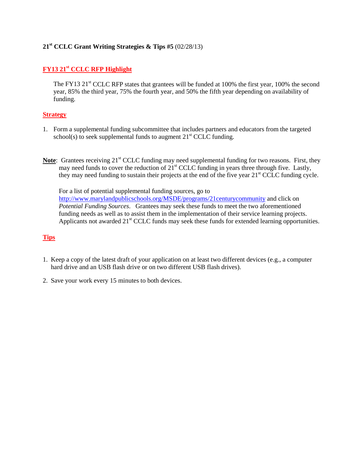### **21st CCLC Grant Writing Strategies & Tips #5** (02/28/13)

### **FY13 21st CCLC RFP Highlight**

The FY13  $21^{\text{st}}$  CCLC RFP states that grantees will be funded at 100% the first year, 100% the second year, 85% the third year, 75% the fourth year, and 50% the fifth year depending on availability of funding.

#### **Strategy**

- 1. Form a supplemental funding subcommittee that includes partners and educators from the targeted school(s) to seek supplemental funds to augment  $21<sup>st</sup> CCLC$  funding.
- **Note**: Grantees receiving 21<sup>st</sup> CCLC funding may need supplemental funding for two reasons. First, they may need funds to cover the reduction of 21<sup>st</sup> CCLC funding in years three through five. Lastly, they may need funding to sustain their projects at the end of the five year 21<sup>st</sup> CCLC funding cycle.

For a list of potential supplemental funding sources, go to <http://www.marylandpublicschools.org/MSDE/programs/21centurycommunity> and click on *Potential Funding Sources*. Grantees may seek these funds to meet the two aforementioned funding needs as well as to assist them in the implementation of their service learning projects. Applicants not awarded 21<sup>st</sup> CCLC funds may seek these funds for extended learning opportunities.

- 1. Keep a copy of the latest draft of your application on at least two different devices (e.g., a computer hard drive and an USB flash drive or on two different USB flash drives).
- 2. Save your work every 15 minutes to both devices.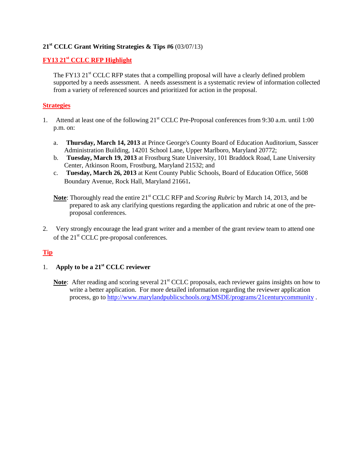### **21st CCLC Grant Writing Strategies & Tips #6** (03/07/13)

### **FY13 21st CCLC RFP Highlight**

The FY13  $21<sup>st</sup>$  CCLC RFP states that a compelling proposal will have a clearly defined problem supported by a needs assessment. A needs assessment is a systematic review of information collected from a variety of referenced sources and prioritized for action in the proposal.

#### **Strategies**

- 1. Attend at least one of the following 21<sup>st</sup> CCLC Pre-Proposal conferences from 9:30 a.m. until 1:00 p.m. on:
	- a. **Thursday, March 14, 2013** at Prince George's County Board of Education Auditorium, Sasscer Administration Building, 14201 School Lane, Upper Marlboro, Maryland 20772;
	- b. **Tuesday, March 19, 2013** at Frostburg State University, 101 Braddock Road, Lane University Center, Atkinson Room, Frostburg, Maryland 21532; and
	- c. **Tuesday, March 26, 2013** at Kent County Public Schools, Board of Education Office, 5608 Boundary Avenue, Rock Hall, Maryland 21661**.**
	- **Note:** Thoroughly read the entire 21<sup>st</sup> CCLC RFP and *Scoring Rubric* by March 14, 2013, and be prepared to ask any clarifying questions regarding the application and rubric at one of the preproposal conferences.
- 2. Very strongly encourage the lead grant writer and a member of the grant review team to attend one of the  $21<sup>st</sup>$  CCLC pre-proposal conferences.

### **Tip**

# 1. **Apply to be a 21st CCLC reviewer**

**Note:** After reading and scoring several 21<sup>st</sup> CCLC proposals, each reviewer gains insights on how to write a better application. For more detailed information regarding the reviewer application process, go to<http://www.marylandpublicschools.org/MSDE/programs/21centurycommunity> .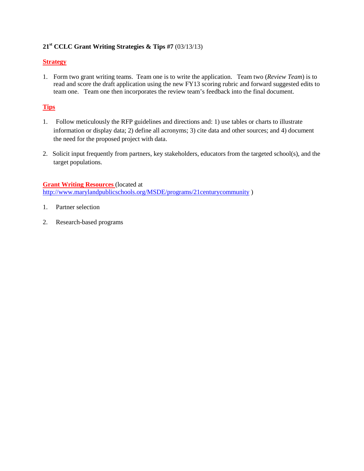## **21st CCLC Grant Writing Strategies & Tips #7** (03/13/13)

### **Strategy**

1. Form two grant writing teams. Team one is to write the application. Team two (*Review Team*) is to read and score the draft application using the new FY13 scoring rubric and forward suggested edits to team one. Team one then incorporates the review team's feedback into the final document.

# **Tips**

- 1. Follow meticulously the RFP guidelines and directions and: 1) use tables or charts to illustrate information or display data; 2) define all acronyms; 3) cite data and other sources; and 4) document the need for the proposed project with data.
- 2. Solicit input frequently from partners, key stakeholders, educators from the targeted school(s), and the target populations.

**Grant Writing Resources** (located at <http://www.marylandpublicschools.org/MSDE/programs/21centurycommunity> )

- 1. Partner selection
- 2. Research-based programs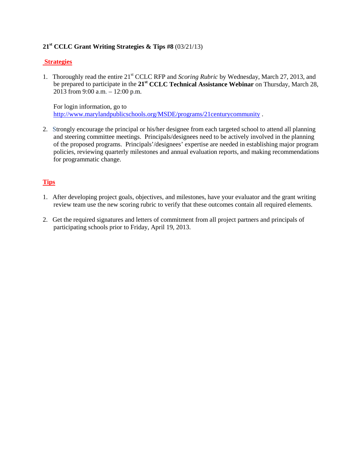## **21st CCLC Grant Writing Strategies & Tips #8** (03/21/13)

### **Strategies**

1. Thoroughly read the entire 21st CCLC RFP and *Scoring Rubric* by Wednesday, March 27, 2013, and be prepared to participate in the **21st CCLC Technical Assistance Webinar** on Thursday, March 28, 2013 from 9:00 a.m. – 12:00 p.m.

 For login information, go to <http://www.marylandpublicschools.org/MSDE/programs/21centurycommunity> .

2. Strongly encourage the principal or his/her designee from each targeted school to attend all planning and steering committee meetings. Principals/designees need to be actively involved in the planning of the proposed programs. Principals'/designees' expertise are needed in establishing major program policies, reviewing quarterly milestones and annual evaluation reports, and making recommendations for programmatic change.

- 1. After developing project goals, objectives, and milestones, have your evaluator and the grant writing review team use the new scoring rubric to verify that these outcomes contain all required elements.
- 2. Get the required signatures and letters of commitment from all project partners and principals of participating schools prior to Friday, April 19, 2013.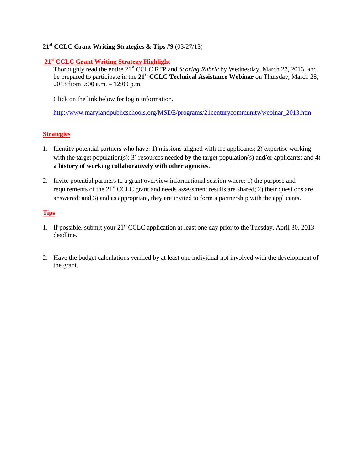## **21st CCLC Grant Writing Strategies & Tips #9** (03/27/13)

### **21st CCLC Grant Writing Strategy Highlight**

Thoroughly read the entire 21<sup>st</sup> CCLC RFP and *Scoring Rubric* by Wednesday, March 27, 2013, and be prepared to participate in the **21st CCLC Technical Assistance Webinar** on Thursday, March 28, 2013 from 9:00 a.m. – 12:00 p.m.

Click on the link below for login information.

[http://www.marylandpublicschools.org/MSDE/programs/21centurycommunity/webinar\\_2013.htm](http://www.marylandpublicschools.org/MSDE/programs/21centurycommunity/webinar_2013.htm)

## **Strategies**

- 1. Identify potential partners who have: 1) missions aligned with the applicants; 2) expertise working with the target population(s); 3) resources needed by the target population(s) and/or applicants; and 4) **a history of working collaboratively with other agencies**.
- 2. Invite potential partners to a grant overview informational session where: 1) the purpose and requirements of the 21<sup>st</sup> CCLC grant and needs assessment results are shared; 2) their questions are answered; and 3) and as appropriate, they are invited to form a partnership with the applicants.

- 1. If possible, submit your 21<sup>st</sup> CCLC application at least one day prior to the Tuesday, April 30, 2013 deadline.
- 2. Have the budget calculations verified by at least one individual not involved with the development of the grant.